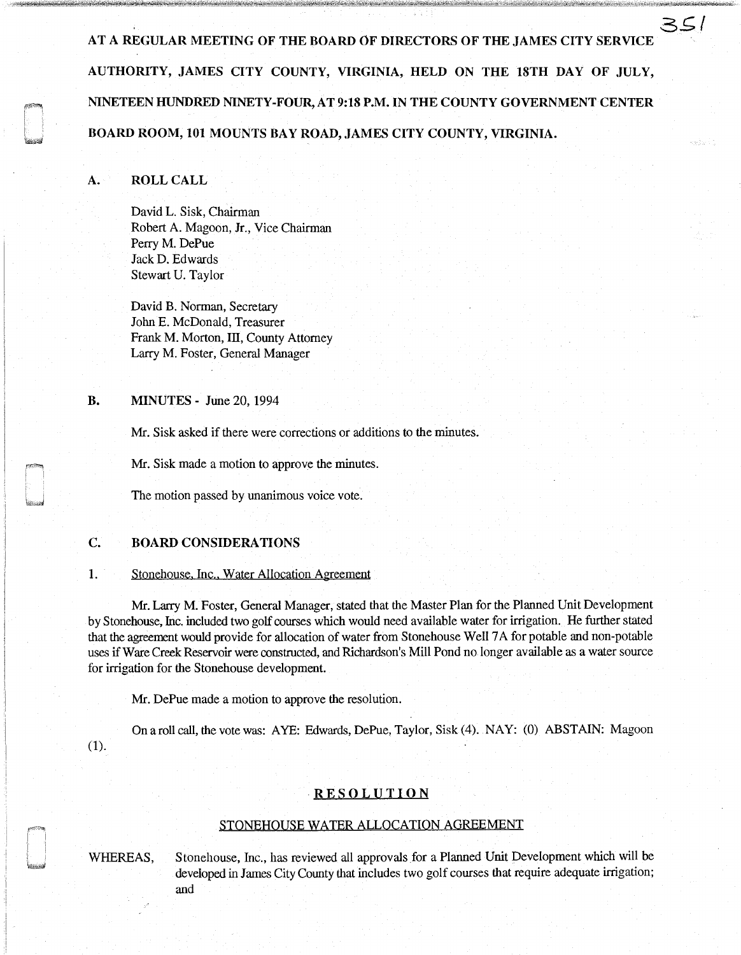AT A REGULAR MEETING OF THE BOARD OF DIRECTORS OF THE JAMES CITY SERVICE AUTHORITY, JAMES CITY COUNTY, VIRGINIA, HELD ON THE 18TH DAY OF JULY, NINETEEN HUNDRED NINETY-FOUR, AT 9:18 P.M. IN THE COUNTY GOVERNMENT CENTER BOARD ROOM, 101 MOUNTS BAY ROAD, JAMES CITY COUNTY, VIRGINIA.

3~/

erbeiten.

# A. ROLL CALL

David L. Sisk, Chairman Robert A. Magoon, Jr., Vice Chairman Perry M. DePue Jack D. Edwards Stewart U. Taylor

David B. Norman, Secretary John E. McDonald, Treasurer Frank M. Morton, III, County Attorney Larry M. Foster, General Manager

# **B. MINUTES** - June 20, 1994

Mr. Sisk asked if there were corrections or additions to the minutes.

Mr. Sisk made a motion to approve the minutes.

The motion passed by unanimous voice vote.

## C. BOARD CONSIDERATIONS

#### 1. Stonehouse, Inc., Water Allocation Agreement

Mr. Larry M. Foster, General Manager, stated that the Master Plan for the Planned Unit Development by Stonehouse, Inc. included two golf courses which would need available water for irrigation. He further stated that the agreement would provide for allocation of water from Stonehouse Well 7 A for potable and non-potable uses if Ware Creek Reservoir were constructed, and Richardson's Mill Pond no longer available as a water source for irrigation for the Stonehouse development.

Mr. DePue made a motion to approve the resolution.

On a roll call, the vote was: AYE: Edwards, DePue, Taylor, Sisk (4). NAY: (0) ABSTAIN: Magoon (1).

# **RESOLUTION**

### STONEHOUSE WATER ALLOCATION AGREEMENT

WHEREAS, Stonehouse, Inc., has reviewed all approvals for a Planned Unit Development which will be developed in James City County that includes two golf courses that require adequate irrigation; and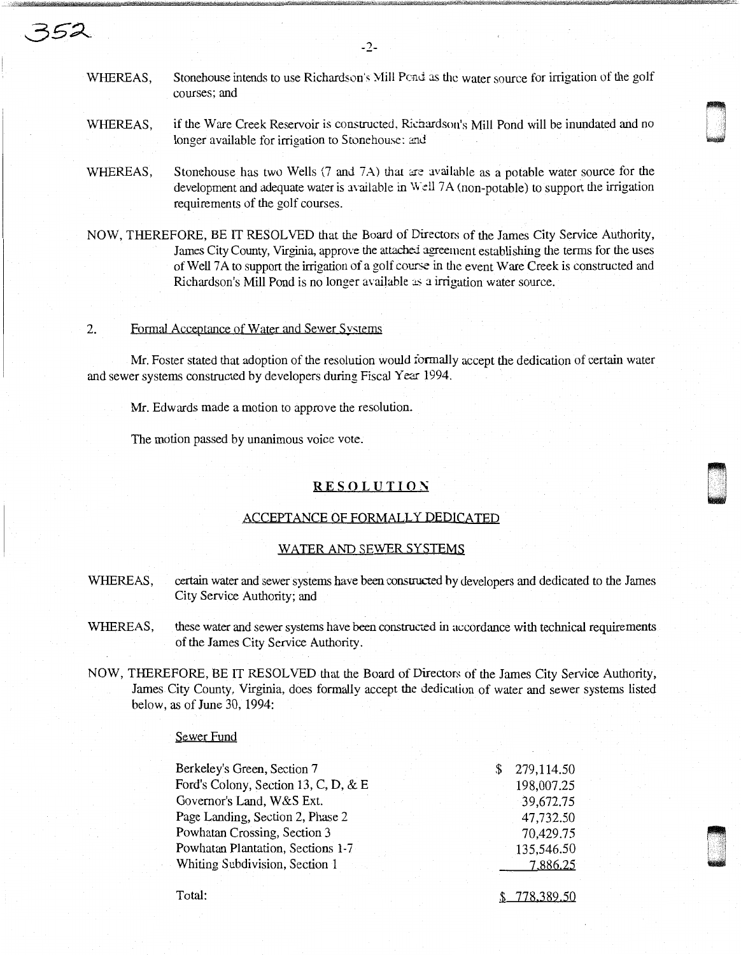WHEREAS, Stonehouse intends to use Richardson's Mill Pend as the water source for irrigation of the golf courses; and

-2-

WHEREAS, if the Ware Creek Reservoir is constructed, Richardson's Mill Pond will be inundated and no longer available for irrigation to Stonehouse: and

- WHEREAS, Stonehouse has two Wells  $(7 \text{ and } 7\text{A})$  that are available as a potable water source for the development and adequate water is available in  $W$  $ell$   $7A$  (non-potable) to support the irrigation requirements of the golf courses.
- NOW, THEREFORE, BE IT RESOLVED that the Board of Directors of the James City Service Authority, James City County, Virginia, approve the attached agreement establishing the terms for the uses of Well 7A to support the irrigation of a golf course in the event Ware Creek is constructed and Richardson's Mill Pond is no longer available as a irrigation water source.

#### 2. Formal Acceptance of Water and Sewer Systems

352

Mr. Foster stated that adoption of the resolution would formally accept the dedication of certain water and sewer systems constructed by developers during Fiscal Year 1994.

Mr. Edwards made a motion to approve the resolution.

The motion passed by unanimous voice vote.

# **RESOLUTION**

### ACCEPTANCE OF FORMALLY DEDICATED

#### WATER AND SEWER SYSTEMS

- WHEREAS, certain water and sewer systems have been constructed by developers and dedicated to the James City Service Authority; and
- WHEREAS, these water and sewer systems have been constructed in accordance with technical requirements of the James City Service Authority.
- NOW, THEREFORE, BE IT RESOLVED that the Board of Directors of the James City Service Authority, James City County, Virginia, does formally accept the dedication of water and sewer systems listed below, as of June 30, 1994:

## Sewer Fund

| Berkeley's Green, Section 7          |  | 279,114.50 |
|--------------------------------------|--|------------|
| Ford's Colony, Section 13, C, D, & E |  | 198,007.25 |
| Governor's Land, W&S Ext.            |  | 39,672.75  |
| Page Landing, Section 2, Phase 2     |  | 47,732.50  |
| Powhatan Crossing, Section 3         |  | 70,429.75  |
| Powhatan Plantation, Sections 1-7    |  | 135,546.50 |
| Whiting Subdivision, Section 1       |  | 7,886.25   |
|                                      |  |            |

Total:

\$ 778.389.50

·~ u

~~~ u<br>umu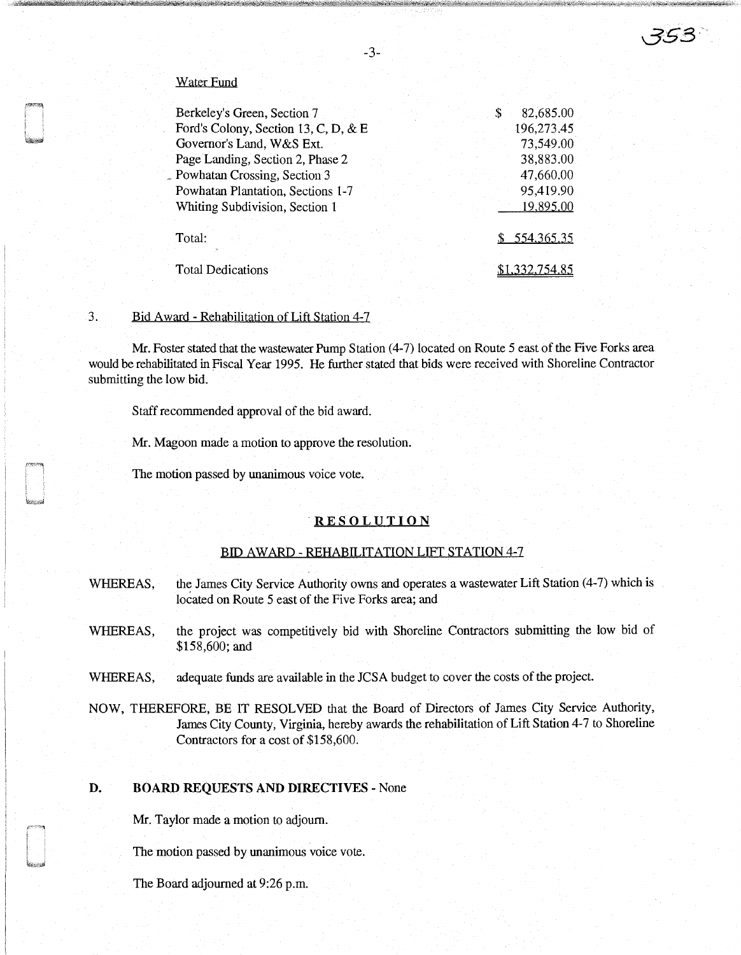# Water Fund

| Berkeley's Green, Section 7          | \$ | 82,685.00    |
|--------------------------------------|----|--------------|
| Ford's Colony, Section 13, C, D, & E |    | 196,273.45   |
| Governor's Land, W&S Ext.            |    | 73,549.00    |
| Page Landing, Section 2, Phase 2     |    | 38,883.00    |
| - Powhatan Crossing, Section 3       |    | 47,660.00    |
| Powhatan Plantation, Sections 1-7    |    | 95,419.90    |
| Whiting Subdivision, Section 1       |    | 19,895.00    |
| Total:                               |    | \$554,365,35 |
| <b>Total Dedications</b>             |    |              |

# 3. Bid Award - Rehabilitation of Lift Station 4-7

Mr. Foster stated that the wastewater Pump Station (4-7) located on Route 5 east of the Five Forks area would be rehabilitated in Fiscal Year 1995. He further stated that bids were received with Shoreline Contractor submitting the low bid.

Staff recommended approval of the bid award.

Mr. Magoon made a motion to approve the resolution.

The motion passed by unanimous voice vote.

# . **RESOLUTION**

#### BID AWARD - REHABILITATION LIFT STATION 4-7

- WHEREAS, the James City Service Authority owns and operates a wastewater Lift Station (4-7) which is located on Route 5 east of the Five Forks area; and
- WHEREAS, the project was competitively bid with Shoreline Contractors submitting the low bid of \$158,600; and
- WHEREAS, adequate funds are available in the JCSA budget to cover the costs of the project.
- NOW, THEREFORE, BE IT RESOLVED that the Board of Directors of James City Service Authority, James City County, Virginia, hereby awards the rehabilitation of Lift Station 4-7 to Shoreline Contractors for a cost of \$158,600.

# **D. BOARD REQUESTS AND DIRECTIVES** - None

Mr. Taylor made a motion to adjourn.

The motion passed by unanimous voice vote.

The Board adjourned at 9:26 p.m.

-3-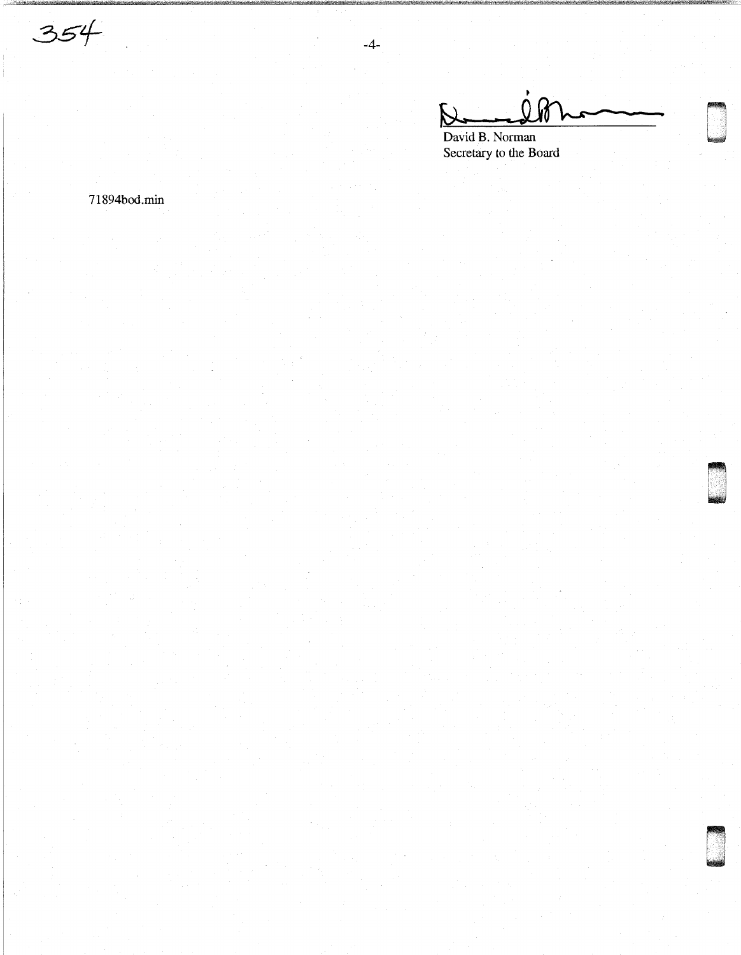$\bar{\mathcal{V}}$ 

David B. Norman Secretary to the Board

 $-4-$ 

71894bod.min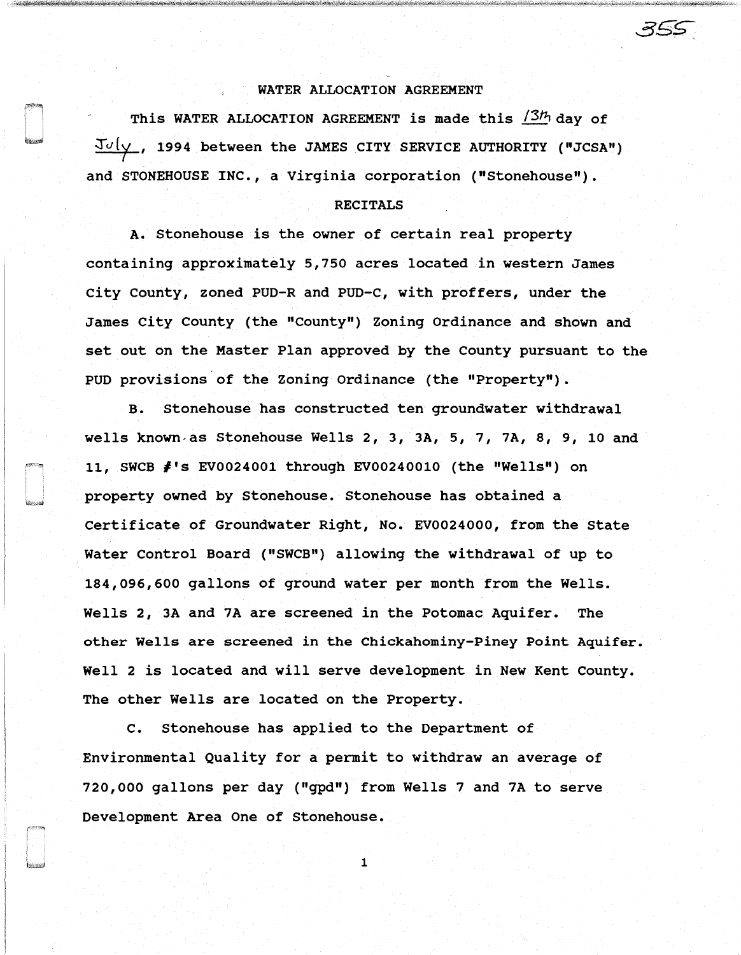# WATER ALLOCATION AGREEMENT

This WATER ALLOCATION AGREEMENT is made this  $/3h$  day of  $J\upsilon(\gamma)$ , 1994 between the JAMES CITY SERVICE AUTHORITY ("JCSA") and STONEHOUSE INC., a Virginia corporation ("Stonehouse").

### RECITALS

A. Stonehouse is the owner of certain real property containing approximately 5,750 acres located in western James City County, zoned PUD-R and PUD-C, with proffers, under the James City County {the "County") Zoning Ordinance and shown and set out on the Master Plan approved by the County pursuant to the PUD provisions of the Zoning Ordinance {the "Property").

B. Stonehouse has constructed ten groundwater withdrawal wells known as Stonehouse Wells 2, 3, 3A, 5, 7, 7A, 8, 9, 10 and 11, SWCB #'s EV0024001 through EV00240010 {the "Wells") on property owned by Stonehouse. Stonehouse has obtained a Certificate of Groundwater Right, No. EV0024000, from the State Water Control Board ("SWCB") allowing the withdrawal of up to 184,096,600 gallons of ground water per month from the Wells. Wells 2, 3A and 7A are screened in the Potomac Aquifer. The other Wells are screened in the Chickahominy-Piney Point Aquifer. Well 2 is located and will serve development in New Kent County. The other Wells are located on the Property.

c. Stonehouse has applied to the Department of Environmental Quality for a permit to withdraw an average of 720,000 gallons per day ("gpd") from Wells 7 and 7A to serve Development Area One of Stonehouse.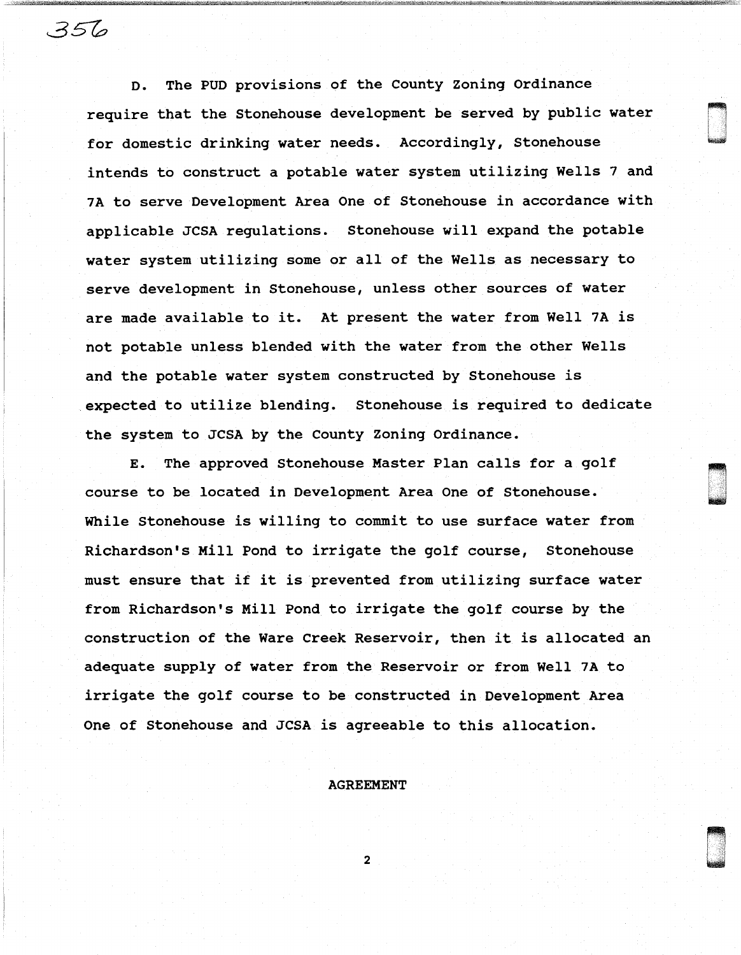D. The PUD provisions of the County Zoning Ordinance require that the Stonehouse development be served by public water for domestic drinking water needs. Accordingly, Stonehouse intends to construct a potable water system utilizing Wells 7 and 7A to serve Development Area One of Stonehouse in accordance with applicable JCSA regulations. Stonehouse will expand the potable water system utilizing some or all of the Wells as necessary to serve development in Stonehouse, unless other sources of water are made available to it. At present the water from Well 7A is not potable unless blended with the water from the other Wells and the potable water system constructed by Stonehouse is expected to utilize blending. Stonehouse is required to dedicate the system to JCSA by the County Zoning Ordinance.

356

00<br>1990<br>1990

E. The approved Stonehouse Master Plan calls for a golf course to be located in Development Area One of Stonehouse. While Stonehouse is willing to commit to use surface water from Richardson's Mill Pond to irrigate the golf course, Stonehouse must ensure that if it is prevented from utilizing surface water from Richardson's Mill Pond to irrigate the golf course by the construction of the Ware Creek Reservoir, then it is allocated an adequate supply of water from the Reservoir or from Well 7A to irrigate the golf course to be constructed in Development Area One of Stonehouse and JCSA is agreeable to this allocation.

# AGREEMENT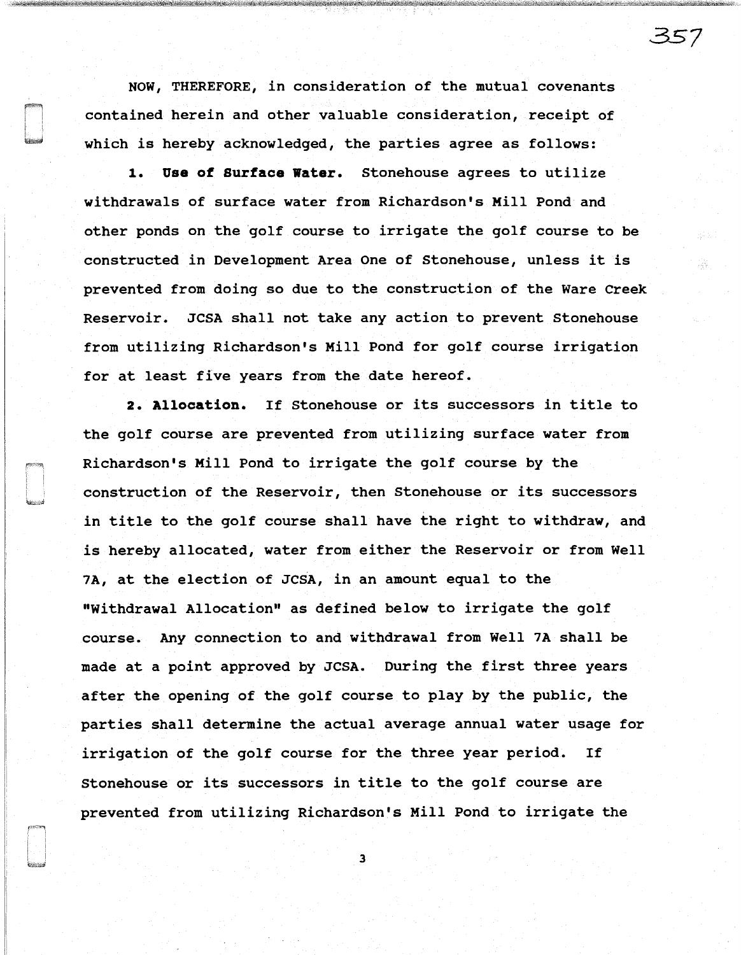NOW, THEREFORE, in consideration of the mutual covenants contained herein and other valuable consideration, receipt of which is hereby acknowledged, the parties agree as follows:

**1. Use of surface water.** Stonehouse agrees to utilize withdrawals of surface water from Richardson's Mill Pond and other ponds on the golf course to irrigate the golf course to be constructed in Development Area One of Stonehouse, unless it is prevented from doing so due to the construction of the Ware Creek Reservoir. JCSA shall not take any action to prevent Stonehouse from utilizing Richardson's Mill Pond for golf course irrigation for at least five years from the date hereof.

**2. Allocation.** If Stonehouse or its successors in title to the golf course are prevented from utilizing surface water from Richardson's Mill Pond to irrigate the golf course by the construction of the Reservoir, then Stonehouse or its successors in title to the golf course shall have the right to withdraw, and is hereby allocated, water from either the Reservoir or from Well 7A, at the election of JCSA, in an amount equal to the "Withdrawal Allocation" as defined below to irrigate the golf course. Any connection to and withdrawal from Well 7A shall be made at a point approved by JCSA. During the first three years after the opening of the golf course to play by the public, the parties shall determine the actual average annual water usage for irrigation of the golf course for the three year period. If Stonehouse or its successors in title to the golf course are prevented from utilizing Richardson's Mill Pond to irrigate the

3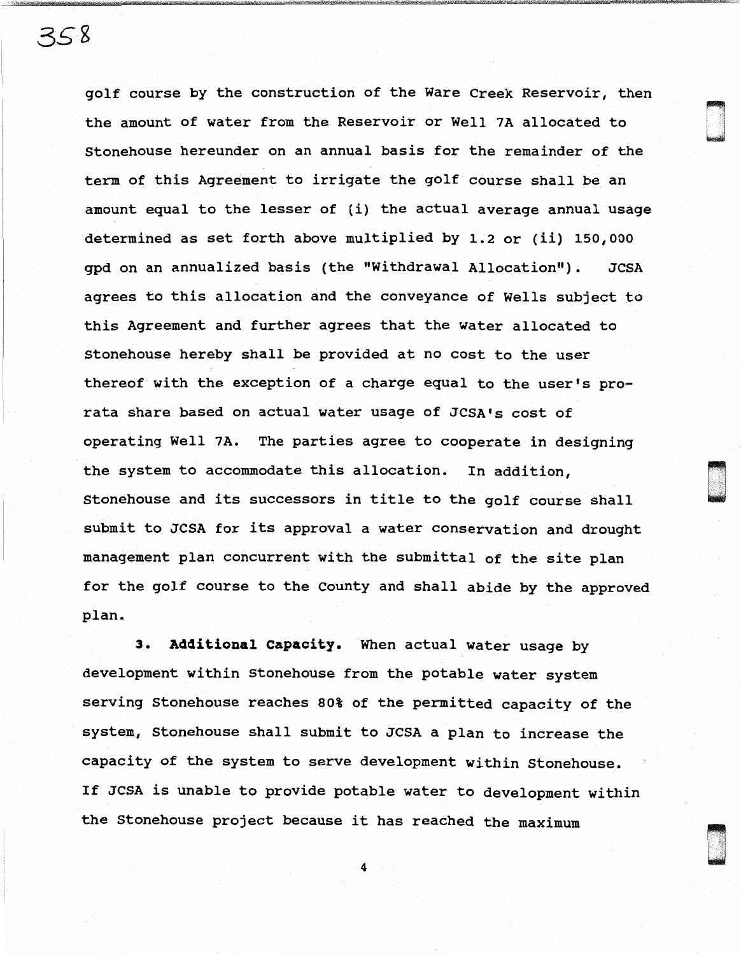golf course by the construction of the Ware Creek Reservoir, then the amount of water from the Reservoir or Well 7A allocated to Stonehouse hereunder on an annual basis for the remainder of the term of this Agreement to irrigate the golf course shall be an amount equal to the lesser of (i) the actual average annual usage determined as set forth above multiplied by 1.2 or (ii) 150,000 gpd on an annualized basis (the "Withdrawal Allocation"). JCSA agrees to this allocation and the conveyance of Wells subject to this Agreement and further agrees that the water allocated to Stonehouse hereby shall be provided at no cost to the user thereof with the exception of a charge equal to the user's prorata share based on actual water usage of JCSA's cost of operating Well 7A. The parties agree to cooperate in designing the system to accommodate this allocation. In addition, Stonehouse and its successors in title to the golf course shall submit to JCSA for its approval a water conservation and drought management plan concurrent with the submittal of the site plan for the golf course to the County and shall abide by the approved plan.

d 'an<br>D 'an Chaidhean<br>D 'an Chaidhean

u Ca<br>U '' '

**3. Additional capacity.** When actual water usage by development within Stonehouse from the potable water system serving Stonehouse reaches 80% of the permitted capacity of the system, Stonehouse shall submit to JCSA a plan to increase the capacity of the system to serve development within Stonehouse. If JCSA is unable to provide potable water to development within the Stonehouse project because it has reached the maximum

4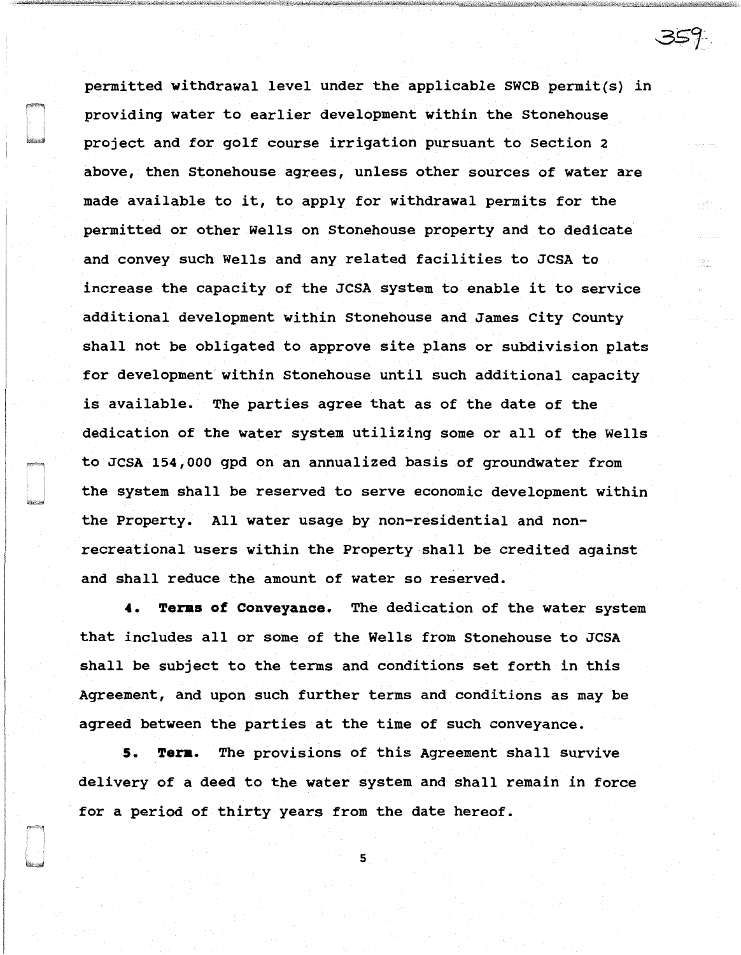permitted withdrawal level under the applicable SWCB permit(s) in providing water to earlier development within the Stonehouse project and for golf course irrigation pursuant to Section 2 above, then Stonehouse agrees, unless other sources of water are made available to it, to apply for withdrawal permits for the permitted or other Wells on Stonehouse property and to dedicate and convey such Wells and any related facilities to JCSA to increase the capacity of the JCSA system to enable it to service additional development within Stonehouse and James City County shall not be obligated to approve site plans or subdivision plats for development within Stonehouse until such additional capacity is available. The parties agree that as of the date of the dedication of the water system utilizing some or all of the Wells to JCSA 154,000 gpd on an annualized basis of groundwater from the system shall be reserved to serve economic development within the Property. All water usage by non-residential and nonrecreational users within the Property shall be credited against and shall reduce the amount of water so reserved.

**4. Teras of Conveyance.** The dedication of the water system that includes all or some of the Wells from Stonehouse to JCSA shall be subject to the terms and conditions set forth in this Agreement, and upon such further terms and conditions as may be agreed between the parties at the time of such conveyance.

**5. Tera.** The provisions of this Agreement shall survive delivery of a deed to the water system and shall remain in force for a period of thirty years from the date hereof.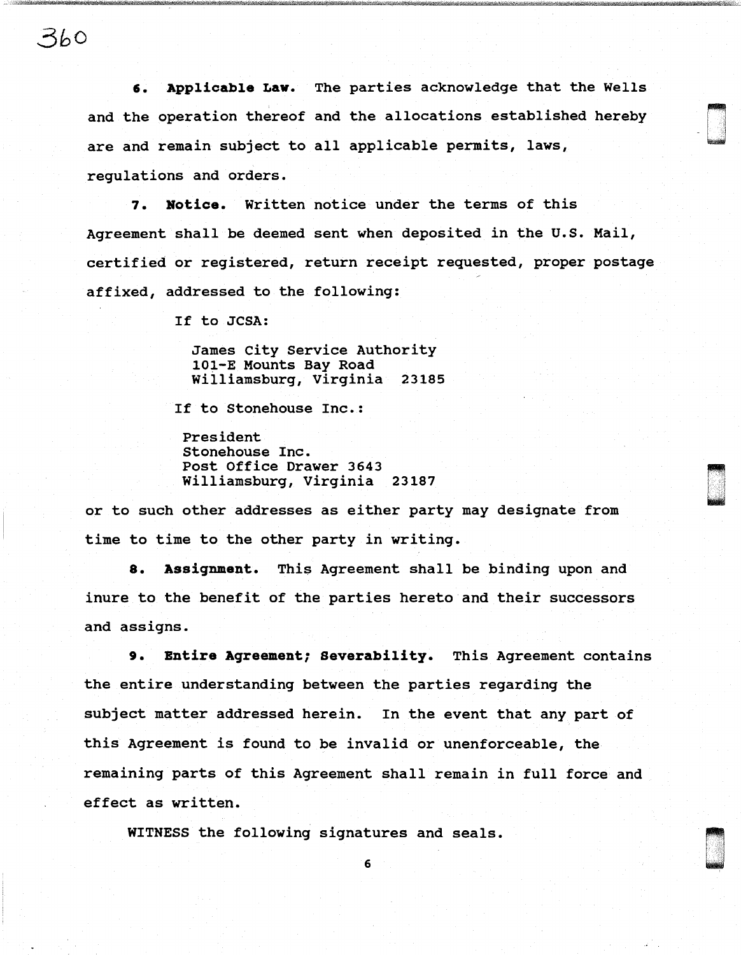3bO

6. Applicable Law. The parties acknowledge that the Wells and the operation thereof and the allocations established hereby are and remain subject to all applicable permits, laws, regulations and orders.

0<br>0<br>0

**7. Notice.** Written notice under the terms of this Agreement shall be deemed sent when deposited in the U.S. Mail, certified or registered, return receipt requested, proper postage affixed, addressed to the following:

If to JCSA:

James City Service Authority 101-E Mounts Bay Road Williamsburg, Virginia 23185

If to Stonehouse Inc.:

President Stonehouse Inc. Post Office Drawer 3643 Williamsburg, Virginia 23187

or to such other addresses as either party may designate from time to time to the other party in writing.

**8. Assignment.** This Agreement shall be binding upon and inure to the benefit of the parties hereto and their successors and assigns.

**9. Entire Agreement; severability.** This Agreement contains the entire understanding between the parties regarding the subject matter addressed herein. In the event that any part of this Agreement is found to be invalid or unenforceable, the remaining parts of this Agreement shall remain in full force and effect as written.

WITNESS the following signatures and seals.